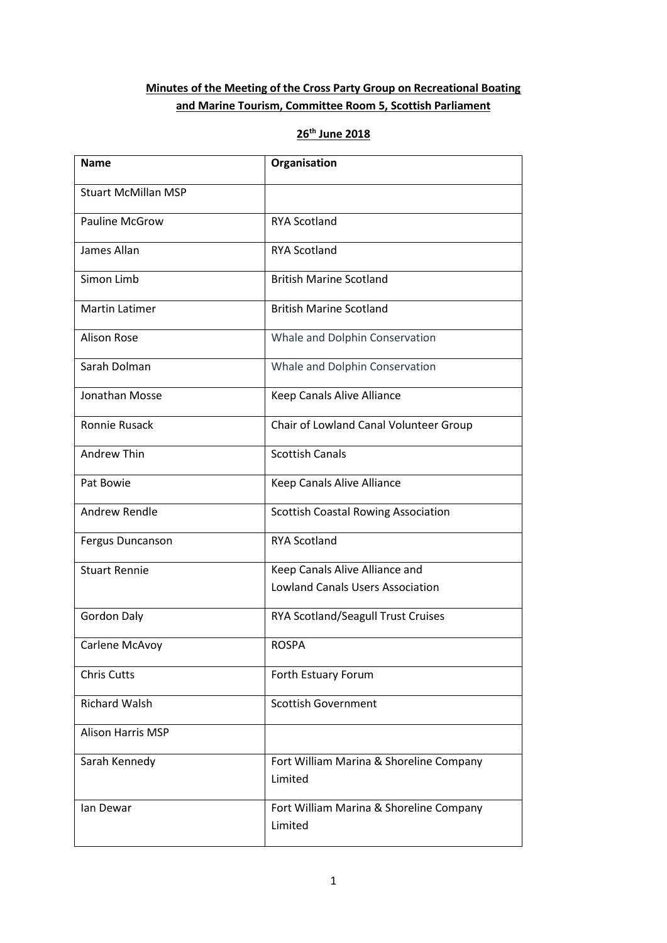# **Minutes of the Meeting of the Cross Party Group on Recreational Boating and Marine Tourism, Committee Room 5, Scottish Parliament**

# **26th June 2018**

| <b>Name</b>                | Organisation                                       |  |  |
|----------------------------|----------------------------------------------------|--|--|
| <b>Stuart McMillan MSP</b> |                                                    |  |  |
| <b>Pauline McGrow</b>      | <b>RYA Scotland</b>                                |  |  |
| James Allan                | <b>RYA Scotland</b>                                |  |  |
| Simon Limb                 | <b>British Marine Scotland</b>                     |  |  |
| <b>Martin Latimer</b>      | <b>British Marine Scotland</b>                     |  |  |
| <b>Alison Rose</b>         | Whale and Dolphin Conservation                     |  |  |
| Sarah Dolman               | Whale and Dolphin Conservation                     |  |  |
| Jonathan Mosse             | Keep Canals Alive Alliance                         |  |  |
| Ronnie Rusack              | Chair of Lowland Canal Volunteer Group             |  |  |
| <b>Andrew Thin</b>         | <b>Scottish Canals</b>                             |  |  |
| Pat Bowie                  | Keep Canals Alive Alliance                         |  |  |
| Andrew Rendle              | Scottish Coastal Rowing Association                |  |  |
| Fergus Duncanson           | <b>RYA Scotland</b>                                |  |  |
| <b>Stuart Rennie</b>       | Keep Canals Alive Alliance and                     |  |  |
|                            | <b>Lowland Canals Users Association</b>            |  |  |
| Gordon Daly                | RYA Scotland/Seagull Trust Cruises                 |  |  |
| Carlene McAvoy             | <b>ROSPA</b>                                       |  |  |
| <b>Chris Cutts</b>         | Forth Estuary Forum                                |  |  |
| <b>Richard Walsh</b>       | <b>Scottish Government</b>                         |  |  |
| <b>Alison Harris MSP</b>   |                                                    |  |  |
| Sarah Kennedy              | Fort William Marina & Shoreline Company<br>Limited |  |  |
| lan Dewar                  | Fort William Marina & Shoreline Company<br>Limited |  |  |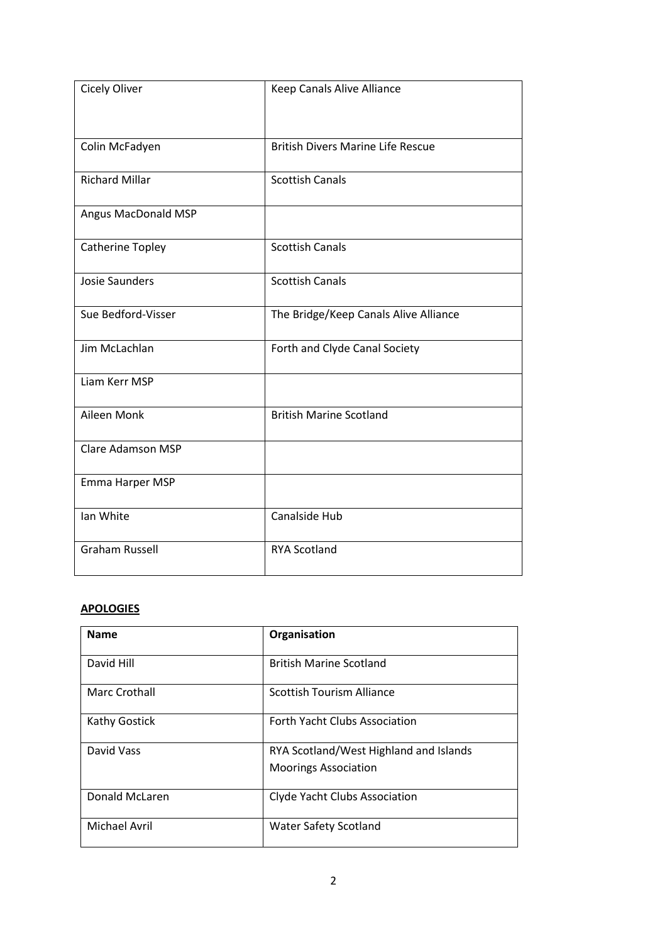| <b>Cicely Oliver</b>  | Keep Canals Alive Alliance               |
|-----------------------|------------------------------------------|
|                       |                                          |
|                       |                                          |
| Colin McFadyen        | <b>British Divers Marine Life Rescue</b> |
| <b>Richard Millar</b> | <b>Scottish Canals</b>                   |
|                       |                                          |
| Angus MacDonald MSP   |                                          |
| Catherine Topley      | <b>Scottish Canals</b>                   |
|                       |                                          |
| <b>Josie Saunders</b> | <b>Scottish Canals</b>                   |
| Sue Bedford-Visser    | The Bridge/Keep Canals Alive Alliance    |
|                       |                                          |
| Jim McLachlan         | Forth and Clyde Canal Society            |
| Liam Kerr MSP         |                                          |
|                       |                                          |
| Aileen Monk           | <b>British Marine Scotland</b>           |
| Clare Adamson MSP     |                                          |
|                       |                                          |
| Emma Harper MSP       |                                          |
| Ian White             | Canalside Hub                            |
|                       |                                          |
| <b>Graham Russell</b> | <b>RYA Scotland</b>                      |
|                       |                                          |

## **APOLOGIES**

| <b>Name</b>          | Organisation                           |  |  |
|----------------------|----------------------------------------|--|--|
| David Hill           | <b>British Marine Scotland</b>         |  |  |
| <b>Marc Crothall</b> | <b>Scottish Tourism Alliance</b>       |  |  |
| <b>Kathy Gostick</b> | <b>Forth Yacht Clubs Association</b>   |  |  |
| David Vass           | RYA Scotland/West Highland and Islands |  |  |
|                      | <b>Moorings Association</b>            |  |  |
| Donald McLaren       | Clyde Yacht Clubs Association          |  |  |
| Michael Avril        | <b>Water Safety Scotland</b>           |  |  |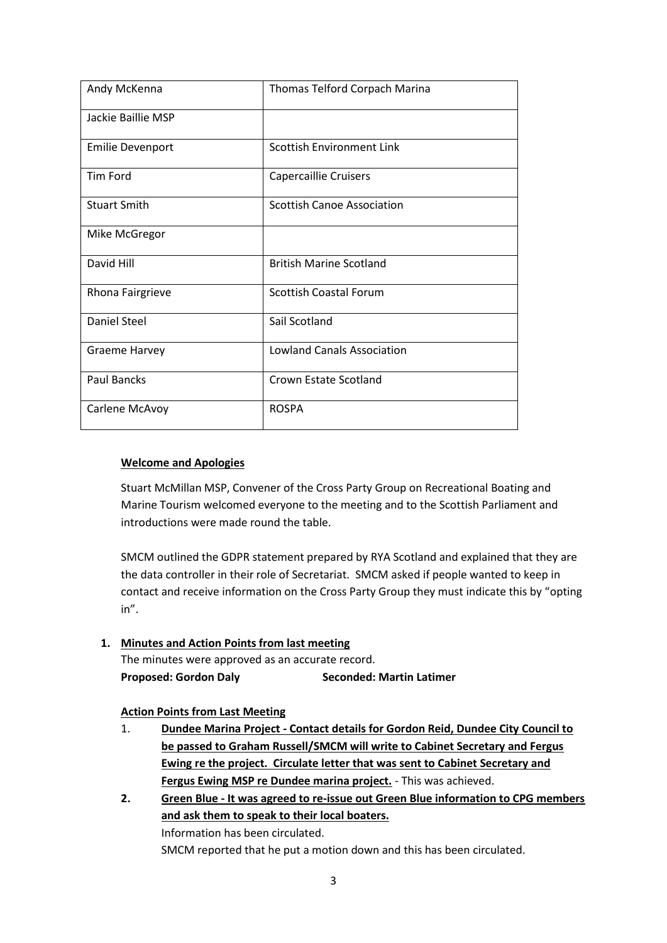| Andy McKenna            | Thomas Telford Corpach Marina     |  |  |
|-------------------------|-----------------------------------|--|--|
| Jackie Baillie MSP      |                                   |  |  |
| <b>Emilie Devenport</b> | <b>Scottish Environment Link</b>  |  |  |
| <b>Tim Ford</b>         | <b>Capercaillie Cruisers</b>      |  |  |
| <b>Stuart Smith</b>     | <b>Scottish Canoe Association</b> |  |  |
| Mike McGregor           |                                   |  |  |
| David Hill              | <b>British Marine Scotland</b>    |  |  |
| Rhona Fairgrieve        | <b>Scottish Coastal Forum</b>     |  |  |
| <b>Daniel Steel</b>     | Sail Scotland                     |  |  |
| <b>Graeme Harvey</b>    | <b>Lowland Canals Association</b> |  |  |
| <b>Paul Bancks</b>      | Crown Estate Scotland             |  |  |
| Carlene McAvoy          | <b>ROSPA</b>                      |  |  |

## **Welcome and Apologies**

Stuart McMillan MSP, Convener of the Cross Party Group on Recreational Boating and Marine Tourism welcomed everyone to the meeting and to the Scottish Parliament and introductions were made round the table.

SMCM outlined the GDPR statement prepared by RYA Scotland and explained that they are the data controller in their role of Secretariat. SMCM asked if people wanted to keep in contact and receive information on the Cross Party Group they must indicate this by "opting in".

## **1. Minutes and Action Points from last meeting** The minutes were approved as an accurate record. **Proposed: Gordon Daly Seconded: Martin Latimer**

#### **Action Points from Last Meeting**

- 1. **Dundee Marina Project - Contact details for Gordon Reid, Dundee City Council to be passed to Graham Russell/SMCM will write to Cabinet Secretary and Fergus Ewing re the project. Circulate letter that was sent to Cabinet Secretary and Fergus Ewing MSP re Dundee marina project.** - This was achieved.
- **2. Green Blue - It was agreed to re-issue out Green Blue information to CPG members and ask them to speak to their local boaters.**  Information has been circulated. SMCM reported that he put a motion down and this has been circulated.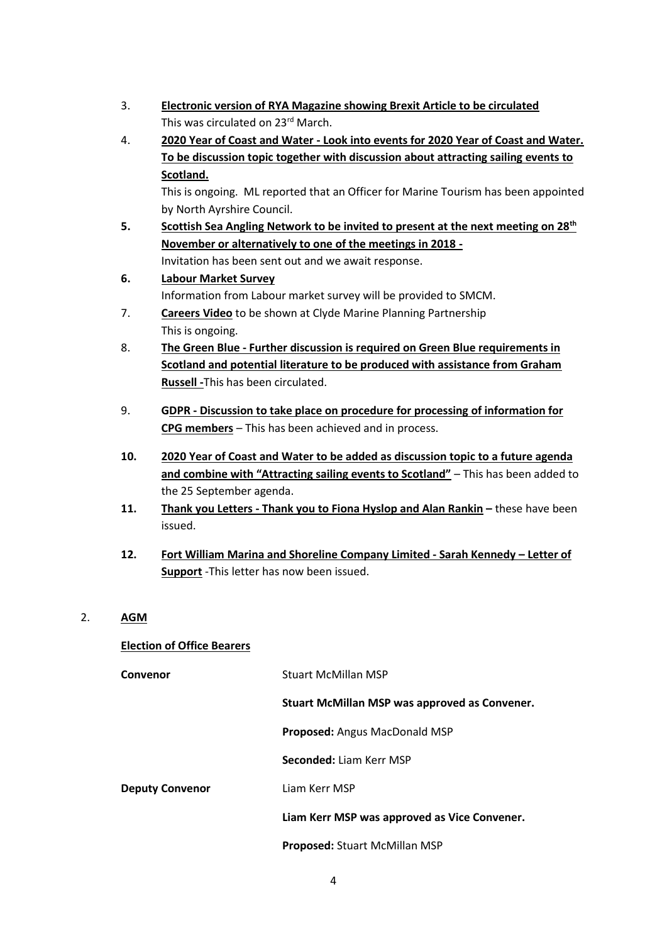- 3. **Electronic version of RYA Magazine showing Brexit Article to be circulated** This was circulated on 23<sup>rd</sup> March.
- 4. **2020 Year of Coast and Water - Look into events for 2020 Year of Coast and Water. To be discussion topic together with discussion about attracting sailing events to Scotland.**

This is ongoing. ML reported that an Officer for Marine Tourism has been appointed by North Ayrshire Council.

- **5. Scottish Sea Angling Network to be invited to present at the next meeting on 28th November or alternatively to one of the meetings in 2018 -** Invitation has been sent out and we await response.
- **6. Labour Market Survey** Information from Labour market survey will be provided to SMCM.
- 7. **Careers Video** to be shown at Clyde Marine Planning Partnership This is ongoing.
- 8. **The Green Blue - Further discussion is required on Green Blue requirements in Scotland and potential literature to be produced with assistance from Graham Russell -**This has been circulated.
- 9. **GDPR - Discussion to take place on procedure for processing of information for CPG members** – This has been achieved and in process.
- **10. 2020 Year of Coast and Water to be added as discussion topic to a future agenda and combine with "Attracting sailing events to Scotland"** – This has been added to the 25 September agenda.
- **11. Thank you Letters - Thank you to Fiona Hyslop and Alan Rankin –** these have been issued.
- **12. Fort William Marina and Shoreline Company Limited - Sarah Kennedy – Letter of Support** -This letter has now been issued.
- 2. **AGM**

## **Election of Office Bearers**

| Convenor               | <b>Stuart McMillan MSP</b>                    |  |  |
|------------------------|-----------------------------------------------|--|--|
|                        | Stuart McMillan MSP was approved as Convener. |  |  |
|                        | Proposed: Angus MacDonald MSP                 |  |  |
|                        | Seconded: Liam Kerr MSP                       |  |  |
| <b>Deputy Convenor</b> | Liam Kerr MSP                                 |  |  |
|                        | Liam Kerr MSP was approved as Vice Convener.  |  |  |
|                        | Proposed: Stuart McMillan MSP                 |  |  |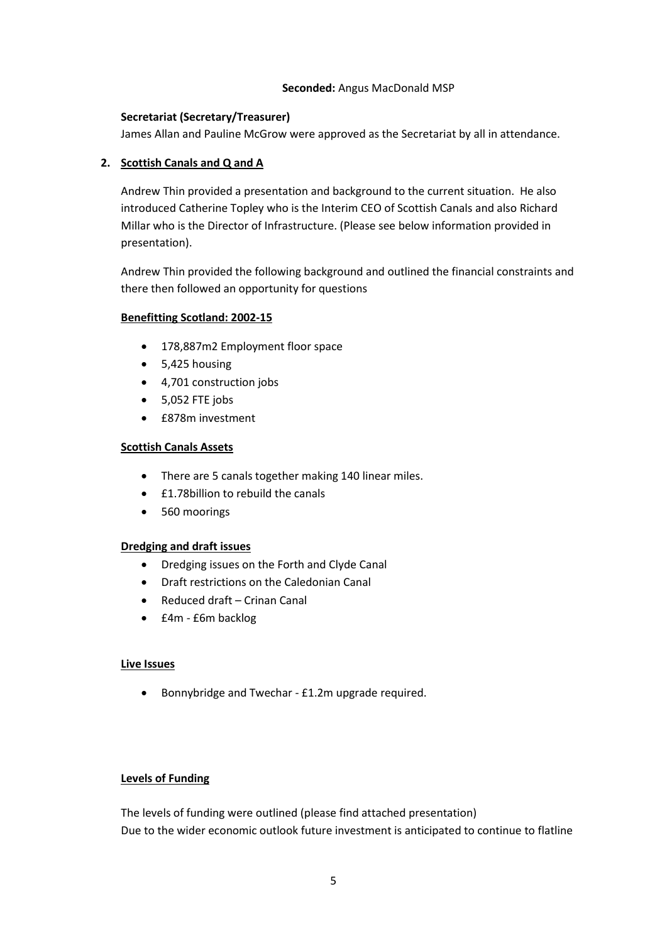#### **Seconded:** Angus MacDonald MSP

#### **Secretariat (Secretary/Treasurer)**

James Allan and Pauline McGrow were approved as the Secretariat by all in attendance.

#### **2. Scottish Canals and Q and A**

Andrew Thin provided a presentation and background to the current situation. He also introduced Catherine Topley who is the Interim CEO of Scottish Canals and also Richard Millar who is the Director of Infrastructure. (Please see below information provided in presentation).

Andrew Thin provided the following background and outlined the financial constraints and there then followed an opportunity for questions

#### **Benefitting Scotland: 2002-15**

- 178,887m2 Employment floor space
- 5,425 housing
- 4,701 construction jobs
- $-5,052$  FTE jobs
- £878m investment

#### **Scottish Canals Assets**

- There are 5 canals together making 140 linear miles.
- **£1.78billion to rebuild the canals**
- 560 moorings

#### **Dredging and draft issues**

- Dredging issues on the Forth and Clyde Canal
- Draft restrictions on the Caledonian Canal
- Reduced draft Crinan Canal
- £4m £6m backlog

#### **Live Issues**

Bonnybridge and Twechar - £1.2m upgrade required.

#### **Levels of Funding**

The levels of funding were outlined (please find attached presentation) Due to the wider economic outlook future investment is anticipated to continue to flatline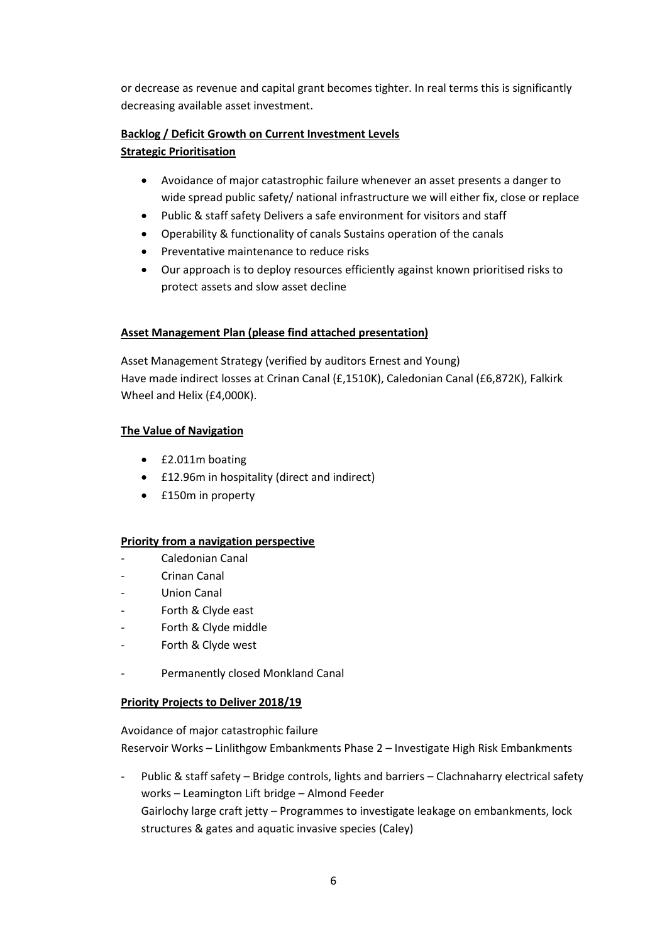or decrease as revenue and capital grant becomes tighter. In real terms this is significantly decreasing available asset investment.

# **Backlog / Deficit Growth on Current Investment Levels**

#### **Strategic Prioritisation**

- Avoidance of major catastrophic failure whenever an asset presents a danger to wide spread public safety/ national infrastructure we will either fix, close or replace
- Public & staff safety Delivers a safe environment for visitors and staff
- Operability & functionality of canals Sustains operation of the canals
- Preventative maintenance to reduce risks
- Our approach is to deploy resources efficiently against known prioritised risks to protect assets and slow asset decline

## **Asset Management Plan (please find attached presentation)**

Asset Management Strategy (verified by auditors Ernest and Young) Have made indirect losses at Crinan Canal (£,1510K), Caledonian Canal (£6,872K), Falkirk Wheel and Helix (£4,000K).

## **The Value of Navigation**

- £2.011m boating
- £12.96m in hospitality (direct and indirect)
- £150m in property

#### **Priority from a navigation perspective**

- Caledonian Canal
- Crinan Canal
- Union Canal
- Forth & Clyde east
- Forth & Clyde middle
- Forth & Clyde west
- Permanently closed Monkland Canal

#### **Priority Projects to Deliver 2018/19**

Avoidance of major catastrophic failure Reservoir Works – Linlithgow Embankments Phase 2 – Investigate High Risk Embankments

Public & staff safety - Bridge controls, lights and barriers - Clachnaharry electrical safety works – Leamington Lift bridge – Almond Feeder Gairlochy large craft jetty – Programmes to investigate leakage on embankments, lock structures & gates and aquatic invasive species (Caley)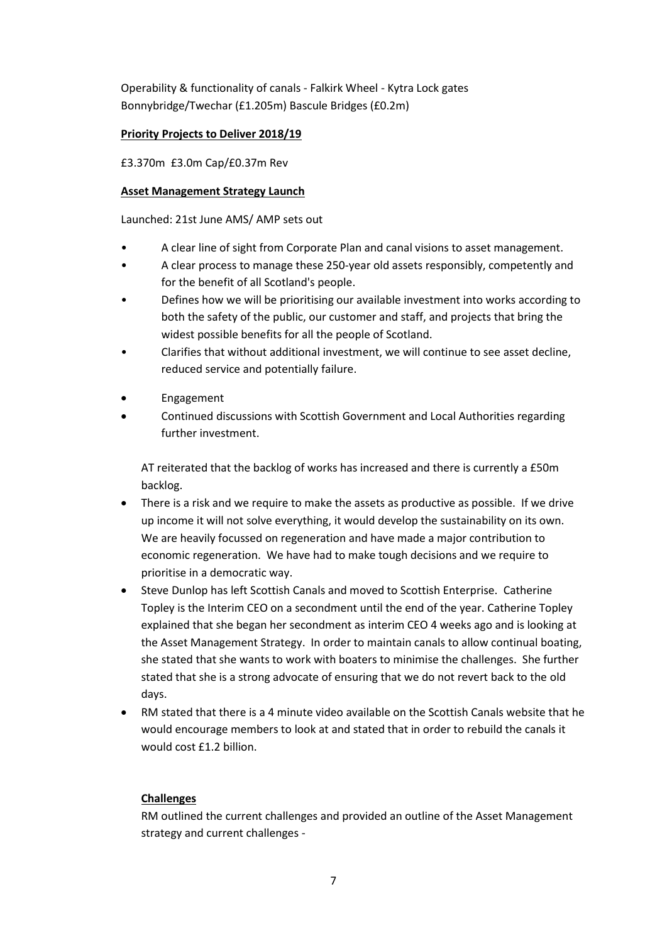Operability & functionality of canals - Falkirk Wheel - Kytra Lock gates Bonnybridge/Twechar (£1.205m) Bascule Bridges (£0.2m)

## **Priority Projects to Deliver 2018/19**

£3.370m £3.0m Cap/£0.37m Rev

#### **Asset Management Strategy Launch**

Launched: 21st June AMS/ AMP sets out

- A clear line of sight from Corporate Plan and canal visions to asset management.
- A clear process to manage these 250-year old assets responsibly, competently and for the benefit of all Scotland's people.
- Defines how we will be prioritising our available investment into works according to both the safety of the public, our customer and staff, and projects that bring the widest possible benefits for all the people of Scotland.
- Clarifies that without additional investment, we will continue to see asset decline, reduced service and potentially failure.
- Engagement
- Continued discussions with Scottish Government and Local Authorities regarding further investment.

AT reiterated that the backlog of works has increased and there is currently a £50m backlog.

- There is a risk and we require to make the assets as productive as possible. If we drive up income it will not solve everything, it would develop the sustainability on its own. We are heavily focussed on regeneration and have made a major contribution to economic regeneration. We have had to make tough decisions and we require to prioritise in a democratic way.
- Steve Dunlop has left Scottish Canals and moved to Scottish Enterprise. Catherine Topley is the Interim CEO on a secondment until the end of the year. Catherine Topley explained that she began her secondment as interim CEO 4 weeks ago and is looking at the Asset Management Strategy. In order to maintain canals to allow continual boating, she stated that she wants to work with boaters to minimise the challenges. She further stated that she is a strong advocate of ensuring that we do not revert back to the old days.
- RM stated that there is a 4 minute video available on the Scottish Canals website that he would encourage members to look at and stated that in order to rebuild the canals it would cost £1.2 billion.

## **Challenges**

RM outlined the current challenges and provided an outline of the Asset Management strategy and current challenges -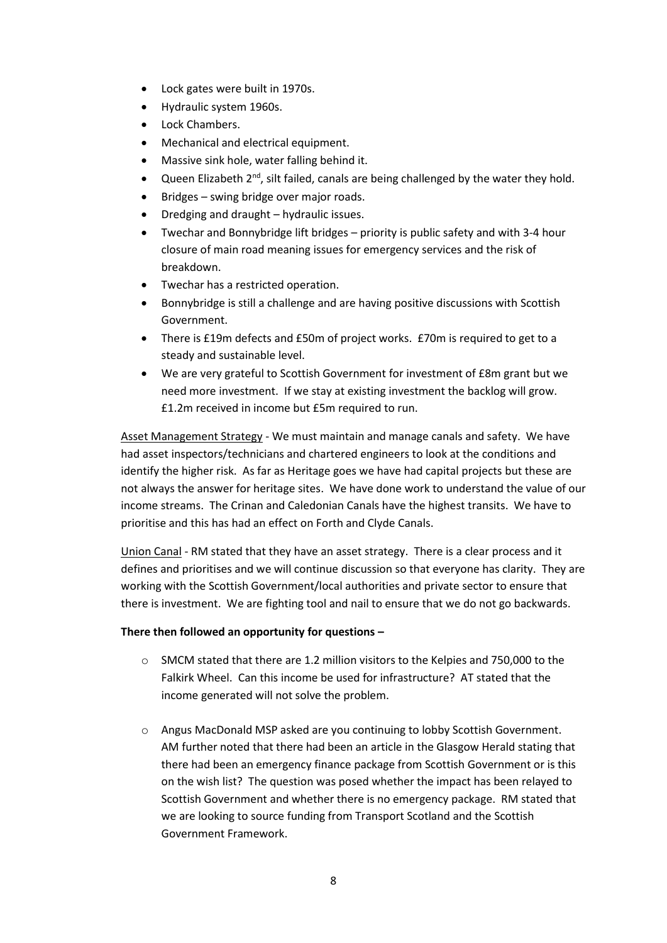- Lock gates were built in 1970s.
- Hydraulic system 1960s.
- Lock Chambers.
- Mechanical and electrical equipment.
- Massive sink hole, water falling behind it.
- Queen Elizabeth 2<sup>nd</sup>, silt failed, canals are being challenged by the water they hold.
- Bridges swing bridge over major roads.
- Dredging and draught hydraulic issues.
- Twechar and Bonnybridge lift bridges priority is public safety and with 3-4 hour closure of main road meaning issues for emergency services and the risk of breakdown.
- Twechar has a restricted operation.
- Bonnybridge is still a challenge and are having positive discussions with Scottish Government.
- There is £19m defects and £50m of project works. £70m is required to get to a steady and sustainable level.
- We are very grateful to Scottish Government for investment of £8m grant but we need more investment. If we stay at existing investment the backlog will grow. £1.2m received in income but £5m required to run.

Asset Management Strategy - We must maintain and manage canals and safety. We have had asset inspectors/technicians and chartered engineers to look at the conditions and identify the higher risk. As far as Heritage goes we have had capital projects but these are not always the answer for heritage sites. We have done work to understand the value of our income streams. The Crinan and Caledonian Canals have the highest transits. We have to prioritise and this has had an effect on Forth and Clyde Canals.

Union Canal - RM stated that they have an asset strategy. There is a clear process and it defines and prioritises and we will continue discussion so that everyone has clarity. They are working with the Scottish Government/local authorities and private sector to ensure that there is investment. We are fighting tool and nail to ensure that we do not go backwards.

#### **There then followed an opportunity for questions –**

- o SMCM stated that there are 1.2 million visitors to the Kelpies and 750,000 to the Falkirk Wheel. Can this income be used for infrastructure? AT stated that the income generated will not solve the problem.
- o Angus MacDonald MSP asked are you continuing to lobby Scottish Government. AM further noted that there had been an article in the Glasgow Herald stating that there had been an emergency finance package from Scottish Government or is this on the wish list? The question was posed whether the impact has been relayed to Scottish Government and whether there is no emergency package. RM stated that we are looking to source funding from Transport Scotland and the Scottish Government Framework.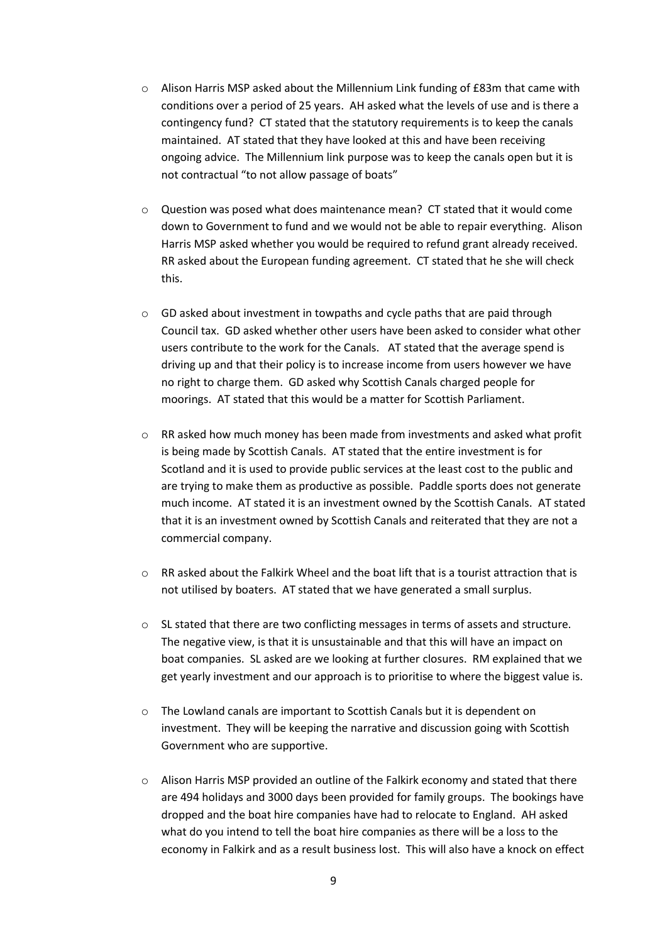- $\circ$  Alison Harris MSP asked about the Millennium Link funding of £83m that came with conditions over a period of 25 years. AH asked what the levels of use and is there a contingency fund? CT stated that the statutory requirements is to keep the canals maintained. AT stated that they have looked at this and have been receiving ongoing advice. The Millennium link purpose was to keep the canals open but it is not contractual "to not allow passage of boats"
- $\circ$  Question was posed what does maintenance mean? CT stated that it would come down to Government to fund and we would not be able to repair everything. Alison Harris MSP asked whether you would be required to refund grant already received. RR asked about the European funding agreement. CT stated that he she will check this.
- o GD asked about investment in towpaths and cycle paths that are paid through Council tax. GD asked whether other users have been asked to consider what other users contribute to the work for the Canals. AT stated that the average spend is driving up and that their policy is to increase income from users however we have no right to charge them. GD asked why Scottish Canals charged people for moorings. AT stated that this would be a matter for Scottish Parliament.
- o RR asked how much money has been made from investments and asked what profit is being made by Scottish Canals. AT stated that the entire investment is for Scotland and it is used to provide public services at the least cost to the public and are trying to make them as productive as possible. Paddle sports does not generate much income. AT stated it is an investment owned by the Scottish Canals. AT stated that it is an investment owned by Scottish Canals and reiterated that they are not a commercial company.
- $\circ$  RR asked about the Falkirk Wheel and the boat lift that is a tourist attraction that is not utilised by boaters. AT stated that we have generated a small surplus.
- o SL stated that there are two conflicting messages in terms of assets and structure. The negative view, is that it is unsustainable and that this will have an impact on boat companies. SL asked are we looking at further closures. RM explained that we get yearly investment and our approach is to prioritise to where the biggest value is.
- o The Lowland canals are important to Scottish Canals but it is dependent on investment. They will be keeping the narrative and discussion going with Scottish Government who are supportive.
- $\circ$  Alison Harris MSP provided an outline of the Falkirk economy and stated that there are 494 holidays and 3000 days been provided for family groups. The bookings have dropped and the boat hire companies have had to relocate to England. AH asked what do you intend to tell the boat hire companies as there will be a loss to the economy in Falkirk and as a result business lost. This will also have a knock on effect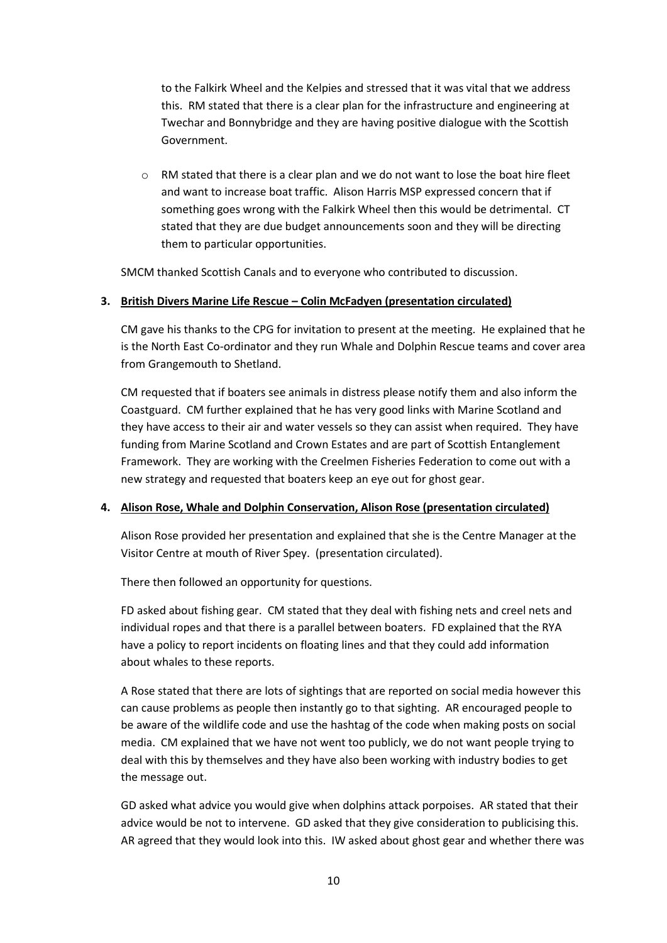to the Falkirk Wheel and the Kelpies and stressed that it was vital that we address this. RM stated that there is a clear plan for the infrastructure and engineering at Twechar and Bonnybridge and they are having positive dialogue with the Scottish Government.

o RM stated that there is a clear plan and we do not want to lose the boat hire fleet and want to increase boat traffic. Alison Harris MSP expressed concern that if something goes wrong with the Falkirk Wheel then this would be detrimental. CT stated that they are due budget announcements soon and they will be directing them to particular opportunities.

SMCM thanked Scottish Canals and to everyone who contributed to discussion.

#### **3. British Divers Marine Life Rescue – Colin McFadyen (presentation circulated)**

CM gave his thanks to the CPG for invitation to present at the meeting. He explained that he is the North East Co-ordinator and they run Whale and Dolphin Rescue teams and cover area from Grangemouth to Shetland.

CM requested that if boaters see animals in distress please notify them and also inform the Coastguard. CM further explained that he has very good links with Marine Scotland and they have access to their air and water vessels so they can assist when required. They have funding from Marine Scotland and Crown Estates and are part of Scottish Entanglement Framework. They are working with the Creelmen Fisheries Federation to come out with a new strategy and requested that boaters keep an eye out for ghost gear.

#### **4. Alison Rose, Whale and Dolphin Conservation, Alison Rose (presentation circulated)**

Alison Rose provided her presentation and explained that she is the Centre Manager at the Visitor Centre at mouth of River Spey. (presentation circulated).

There then followed an opportunity for questions.

FD asked about fishing gear. CM stated that they deal with fishing nets and creel nets and individual ropes and that there is a parallel between boaters. FD explained that the RYA have a policy to report incidents on floating lines and that they could add information about whales to these reports.

A Rose stated that there are lots of sightings that are reported on social media however this can cause problems as people then instantly go to that sighting. AR encouraged people to be aware of the wildlife code and use the hashtag of the code when making posts on social media. CM explained that we have not went too publicly, we do not want people trying to deal with this by themselves and they have also been working with industry bodies to get the message out.

GD asked what advice you would give when dolphins attack porpoises. AR stated that their advice would be not to intervene. GD asked that they give consideration to publicising this. AR agreed that they would look into this. IW asked about ghost gear and whether there was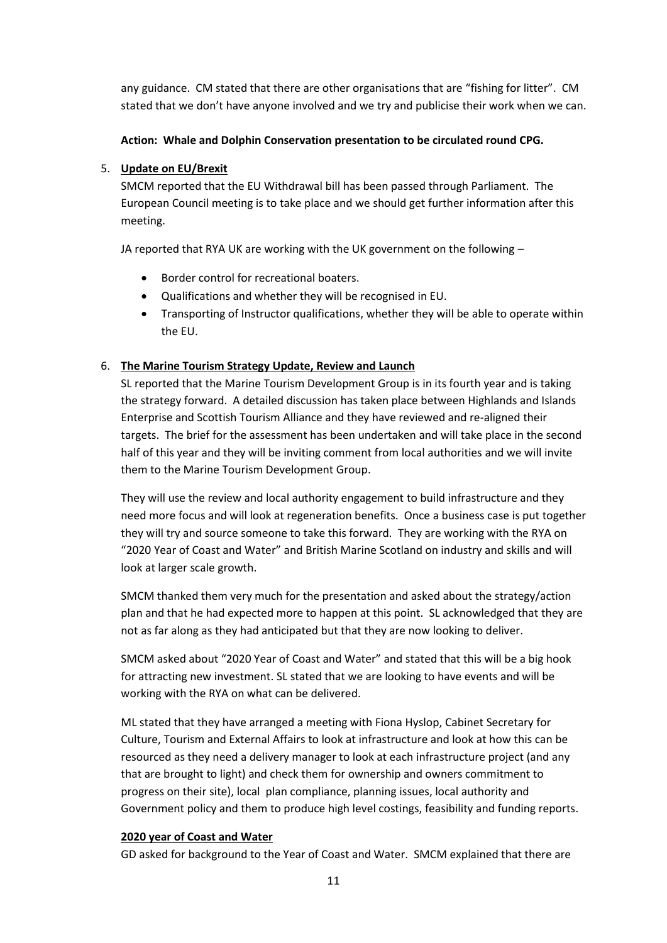any guidance. CM stated that there are other organisations that are "fishing for litter". CM stated that we don't have anyone involved and we try and publicise their work when we can.

#### **Action: Whale and Dolphin Conservation presentation to be circulated round CPG.**

#### 5. **Update on EU/Brexit**

SMCM reported that the EU Withdrawal bill has been passed through Parliament. The European Council meeting is to take place and we should get further information after this meeting.

JA reported that RYA UK are working with the UK government on the following –

- Border control for recreational boaters.
- Qualifications and whether they will be recognised in EU.
- Transporting of Instructor qualifications, whether they will be able to operate within the EU.

#### 6. **The Marine Tourism Strategy Update, Review and Launch**

SL reported that the Marine Tourism Development Group is in its fourth year and is taking the strategy forward. A detailed discussion has taken place between Highlands and Islands Enterprise and Scottish Tourism Alliance and they have reviewed and re-aligned their targets. The brief for the assessment has been undertaken and will take place in the second half of this year and they will be inviting comment from local authorities and we will invite them to the Marine Tourism Development Group.

They will use the review and local authority engagement to build infrastructure and they need more focus and will look at regeneration benefits. Once a business case is put together they will try and source someone to take this forward. They are working with the RYA on "2020 Year of Coast and Water" and British Marine Scotland on industry and skills and will look at larger scale growth.

SMCM thanked them very much for the presentation and asked about the strategy/action plan and that he had expected more to happen at this point. SL acknowledged that they are not as far along as they had anticipated but that they are now looking to deliver.

SMCM asked about "2020 Year of Coast and Water" and stated that this will be a big hook for attracting new investment. SL stated that we are looking to have events and will be working with the RYA on what can be delivered.

ML stated that they have arranged a meeting with Fiona Hyslop, Cabinet Secretary for Culture, Tourism and External Affairs to look at infrastructure and look at how this can be resourced as they need a delivery manager to look at each infrastructure project (and any that are brought to light) and check them for ownership and owners commitment to progress on their site), local plan compliance, planning issues, local authority and Government policy and them to produce high level costings, feasibility and funding reports.

#### **2020 year of Coast and Water**

GD asked for background to the Year of Coast and Water. SMCM explained that there are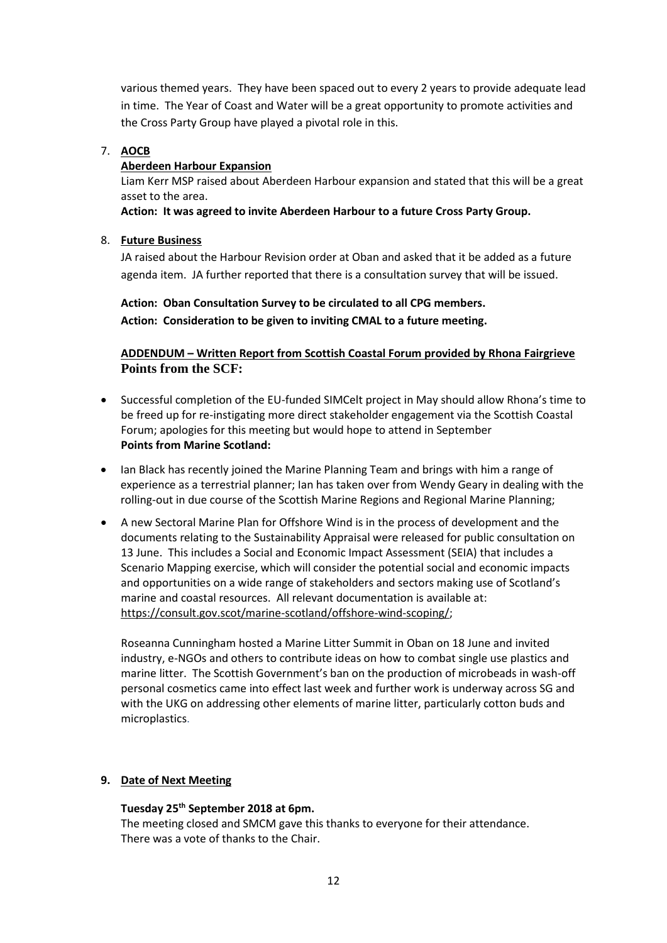various themed years. They have been spaced out to every 2 years to provide adequate lead in time. The Year of Coast and Water will be a great opportunity to promote activities and the Cross Party Group have played a pivotal role in this.

#### 7. **AOCB**

#### **Aberdeen Harbour Expansion**

Liam Kerr MSP raised about Aberdeen Harbour expansion and stated that this will be a great asset to the area.

**Action: It was agreed to invite Aberdeen Harbour to a future Cross Party Group.** 

#### 8. **Future Business**

JA raised about the Harbour Revision order at Oban and asked that it be added as a future agenda item. JA further reported that there is a consultation survey that will be issued.

**Action: Oban Consultation Survey to be circulated to all CPG members. Action: Consideration to be given to inviting CMAL to a future meeting.**

## **ADDENDUM – Written Report from Scottish Coastal Forum provided by Rhona Fairgrieve Points from the SCF:**

- Successful completion of the EU-funded SIMCelt project in May should allow Rhona's time to be freed up for re-instigating more direct stakeholder engagement via the Scottish Coastal Forum; apologies for this meeting but would hope to attend in September **Points from Marine Scotland:**
- Ian Black has recently joined the Marine Planning Team and brings with him a range of experience as a terrestrial planner; Ian has taken over from Wendy Geary in dealing with the rolling-out in due course of the Scottish Marine Regions and Regional Marine Planning;
- A new Sectoral Marine Plan for Offshore Wind is in the process of development and the documents relating to the Sustainability Appraisal were released for public consultation on 13 June. This includes a Social and Economic Impact Assessment (SEIA) that includes a Scenario Mapping exercise, which will consider the potential social and economic impacts and opportunities on a wide range of stakeholders and sectors making use of Scotland's marine and coastal resources. All relevant documentation is available at: [https://consult.gov.scot/marine-scotland/offshore-wind-scoping/;](https://url6.mailanyone.net/v1/?m=1fXS5k-000CYM-4s&i=57e1b682&c=gBD9oNdYKi9x7DuZ7RPB0O270RmOIkvpmObivDNA1MRDIs3hUxqk0Pdr2FXtUzBy0HOFJ7uHV5fe9pkpRe56F1kqHHSDlxRLvw3XXN7AN6G2RtkYgNOs-PJnQM1f5pr3QGp3Py1J2QXFlWITxlWc0vnH80XPmgJIu-e8VCXG9AfTQo5I58IK-HiHNr_AZ8hHtIZJzUIUqi-L03t3spkXk1ks5qZxORzRT8_842m551Zy846jLKadmxC9kC5lc-CHkLqgDJC5oNRnv9L5Ubx6JQ)

Roseanna Cunningham hosted a Marine Litter Summit in Oban on 18 June and invited industry, e-NGOs and others to contribute ideas on how to combat single use plastics and marine litter. The Scottish Government's ban on the production of microbeads in wash-off personal cosmetics came into effect last week and further work is underway across SG and with the UKG on addressing other elements of marine litter, particularly cotton buds and microplastics.

## **9. Date of Next Meeting**

#### **Tuesday 25 th September 2018 at 6pm.**

The meeting closed and SMCM gave this thanks to everyone for their attendance. There was a vote of thanks to the Chair.